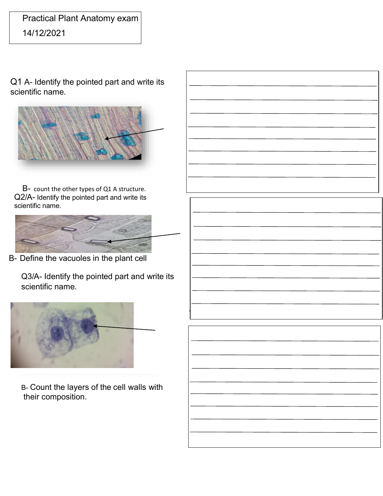## Practical Plant Anatomy exam

14/12/2021

Q1 A- Identify the pointed part and write its scientific name.



B- count the other types of Q1 A structure. Q2/A- Identify the pointed part and write its scientific name.



B- Define the vacuoles in the plant cell

Q3/A- Identify the pointed part and write its scientific name.



B- Count the layers of the cell walls with their composition.

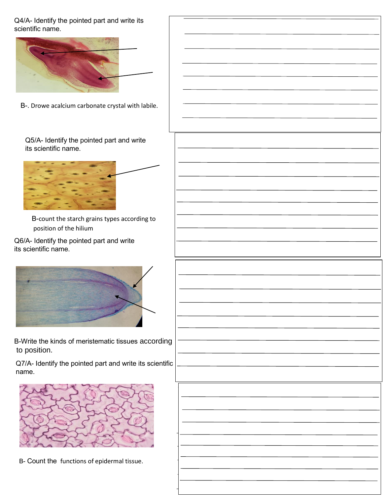Q4/A- Identify the pointed part and write its scientific name.



B-. Drowe acalcium carbonate crystal with labile.

Q5/A- Identify the pointed part and write its scientific name.



B-count the starch grains types according to position of the hilium

Q6/A- Identify the pointed part and write its scientific name.



B-Write the kinds of meristematic tissues according to position.

Q7/A- Identify the pointed part and write its scientific name.



B- Count the functions of epidermal tissue.